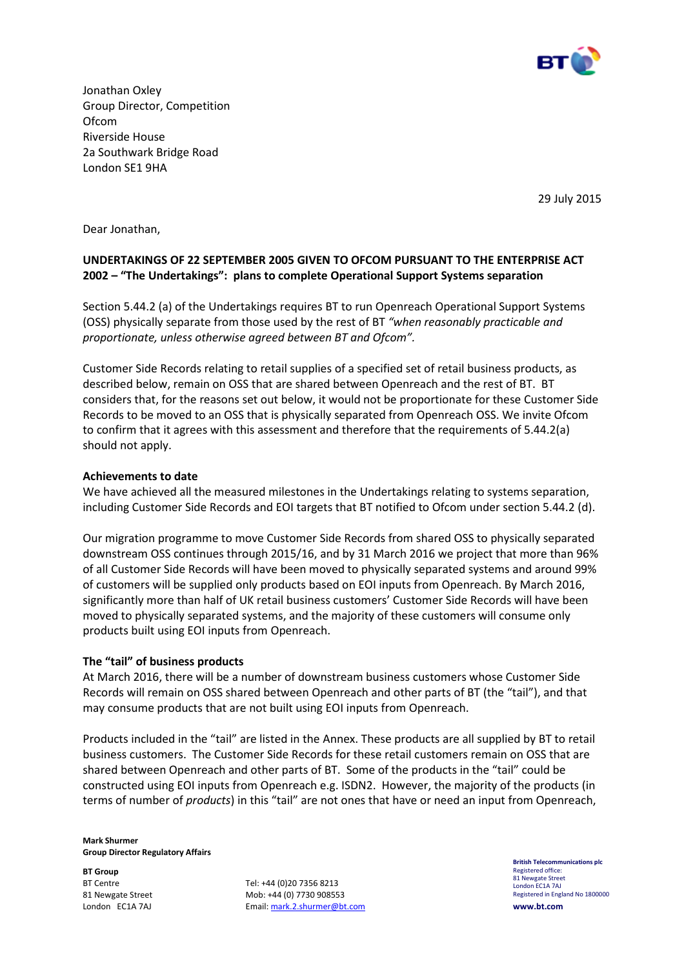

Jonathan Oxley Group Director, Competition **Ofcom** Riverside House 2a Southwark Bridge Road London SE1 9HA

29 July 2015

Dear Jonathan,

# UNDERTAKINGS OF 22 SEPTEMBER 2005 GIVEN TO OFCOM PURSUANT TO THE ENTERPRISE ACT 2002 – "The Undertakings": plans to complete Operational Support Systems separation

Section 5.44.2 (a) of the Undertakings requires BT to run Openreach Operational Support Systems (OSS) physically separate from those used by the rest of BT "when reasonably practicable and proportionate, unless otherwise agreed between BT and Ofcom".

Customer Side Records relating to retail supplies of a specified set of retail business products, as described below, remain on OSS that are shared between Openreach and the rest of BT. BT considers that, for the reasons set out below, it would not be proportionate for these Customer Side Records to be moved to an OSS that is physically separated from Openreach OSS. We invite Ofcom to confirm that it agrees with this assessment and therefore that the requirements of 5.44.2(a) should not apply.

## Achievements to date

We have achieved all the measured milestones in the Undertakings relating to systems separation, including Customer Side Records and EOI targets that BT notified to Ofcom under section 5.44.2 (d).

Our migration programme to move Customer Side Records from shared OSS to physically separated downstream OSS continues through 2015/16, and by 31 March 2016 we project that more than 96% of all Customer Side Records will have been moved to physically separated systems and around 99% of customers will be supplied only products based on EOI inputs from Openreach. By March 2016, significantly more than half of UK retail business customers' Customer Side Records will have been moved to physically separated systems, and the majority of these customers will consume only products built using EOI inputs from Openreach.

# The "tail" of business products

At March 2016, there will be a number of downstream business customers whose Customer Side Records will remain on OSS shared between Openreach and other parts of BT (the "tail"), and that may consume products that are not built using EOI inputs from Openreach.

Products included in the "tail" are listed in the Annex. These products are all supplied by BT to retail business customers. The Customer Side Records for these retail customers remain on OSS that are shared between Openreach and other parts of BT. Some of the products in the "tail" could be constructed using EOI inputs from Openreach e.g. ISDN2. However, the majority of the products (in terms of number of products) in this "tail" are not ones that have or need an input from Openreach,

Mark Shurmer Group Director Regulatory Affairs

BT Group BT Centre 81 Newgate Street London EC1A 7AJ

Tel: +44 (0)20 7356 8213 Mob: +44 (0) 7730 908553 Email: mark.2.shurmer@bt.com British Telecommunications plc Registered office: 81 Newgate Street London EC1A 7AJ Registered in England No 1800000 www.bt.com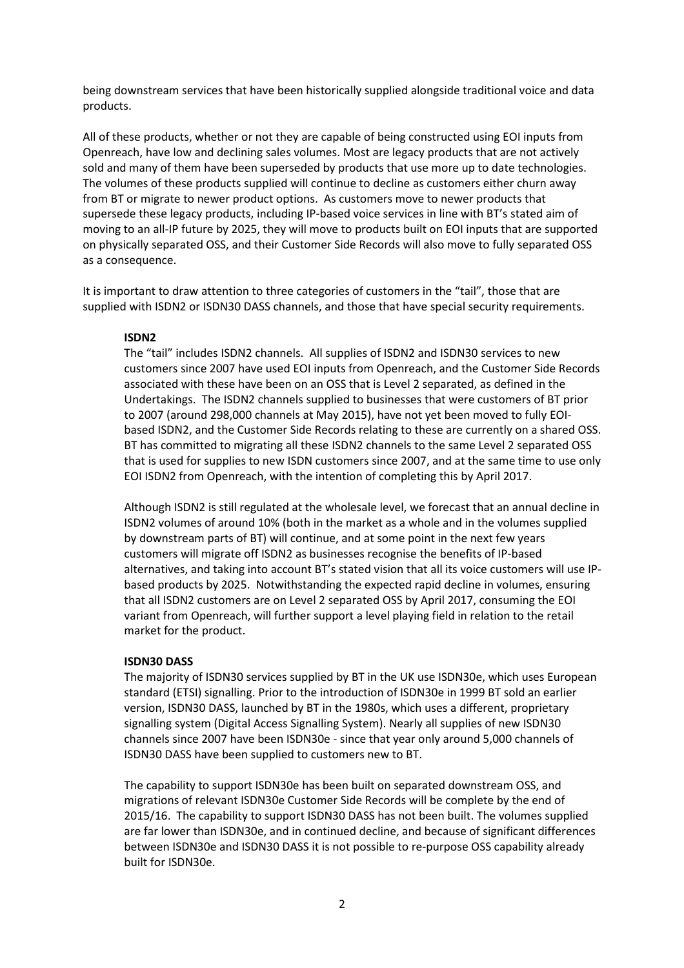being downstream services that have been historically supplied alongside traditional voice and data products.

All of these products, whether or not they are capable of being constructed using EOI inputs from Openreach, have low and declining sales volumes. Most are legacy products that are not actively sold and many of them have been superseded by products that use more up to date technologies. The volumes of these products supplied will continue to decline as customers either churn away from BT or migrate to newer product options. As customers move to newer products that supersede these legacy products, including IP-based voice services in line with BT's stated aim of moving to an all-IP future by 2025, they will move to products built on EOI inputs that are supported on physically separated OSS, and their Customer Side Records will also move to fully separated OSS as a consequence.

It is important to draw attention to three categories of customers in the "tail", those that are supplied with ISDN2 or ISDN30 DASS channels, and those that have special security requirements.

## ISDN2

The "tail" includes ISDN2 channels. All supplies of ISDN2 and ISDN30 services to new customers since 2007 have used EOI inputs from Openreach, and the Customer Side Records associated with these have been on an OSS that is Level 2 separated, as defined in the Undertakings. The ISDN2 channels supplied to businesses that were customers of BT prior to 2007 (around 298,000 channels at May 2015), have not yet been moved to fully EOIbased ISDN2, and the Customer Side Records relating to these are currently on a shared OSS. BT has committed to migrating all these ISDN2 channels to the same Level 2 separated OSS that is used for supplies to new ISDN customers since 2007, and at the same time to use only EOI ISDN2 from Openreach, with the intention of completing this by April 2017.

Although ISDN2 is still regulated at the wholesale level, we forecast that an annual decline in ISDN2 volumes of around 10% (both in the market as a whole and in the volumes supplied by downstream parts of BT) will continue, and at some point in the next few years customers will migrate off ISDN2 as businesses recognise the benefits of IP-based alternatives, and taking into account BT's stated vision that all its voice customers will use IPbased products by 2025. Notwithstanding the expected rapid decline in volumes, ensuring that all ISDN2 customers are on Level 2 separated OSS by April 2017, consuming the EOI variant from Openreach, will further support a level playing field in relation to the retail market for the product.

#### ISDN30 DASS

The majority of ISDN30 services supplied by BT in the UK use ISDN30e, which uses European standard (ETSI) signalling. Prior to the introduction of ISDN30e in 1999 BT sold an earlier version, ISDN30 DASS, launched by BT in the 1980s, which uses a different, proprietary signalling system (Digital Access Signalling System). Nearly all supplies of new ISDN30 channels since 2007 have been ISDN30e - since that year only around 5,000 channels of ISDN30 DASS have been supplied to customers new to BT.

The capability to support ISDN30e has been built on separated downstream OSS, and migrations of relevant ISDN30e Customer Side Records will be complete by the end of 2015/16. The capability to support ISDN30 DASS has not been built. The volumes supplied are far lower than ISDN30e, and in continued decline, and because of significant differences between ISDN30e and ISDN30 DASS it is not possible to re-purpose OSS capability already built for ISDN30e.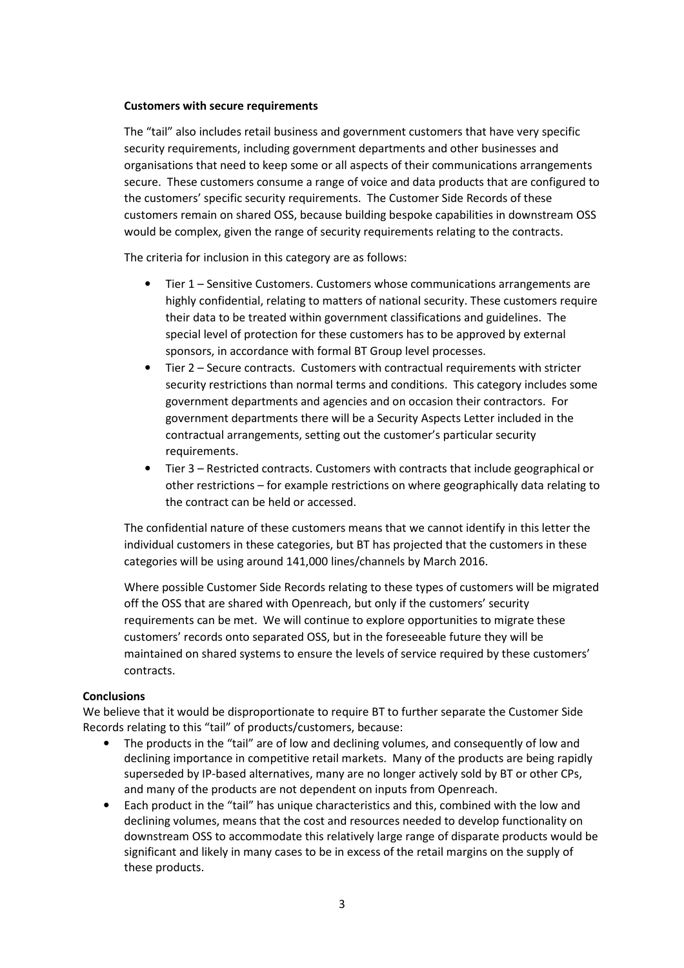## Customers with secure requirements

The "tail" also includes retail business and government customers that have very specific security requirements, including government departments and other businesses and organisations that need to keep some or all aspects of their communications arrangements secure. These customers consume a range of voice and data products that are configured to the customers' specific security requirements. The Customer Side Records of these customers remain on shared OSS, because building bespoke capabilities in downstream OSS would be complex, given the range of security requirements relating to the contracts.

The criteria for inclusion in this category are as follows:

- Tier 1 Sensitive Customers. Customers whose communications arrangements are highly confidential, relating to matters of national security. These customers require their data to be treated within government classifications and guidelines. The special level of protection for these customers has to be approved by external sponsors, in accordance with formal BT Group level processes.
- Tier 2 Secure contracts. Customers with contractual requirements with stricter security restrictions than normal terms and conditions. This category includes some government departments and agencies and on occasion their contractors. For government departments there will be a Security Aspects Letter included in the contractual arrangements, setting out the customer's particular security requirements.
- Tier 3 Restricted contracts. Customers with contracts that include geographical or other restrictions – for example restrictions on where geographically data relating to the contract can be held or accessed.

The confidential nature of these customers means that we cannot identify in this letter the individual customers in these categories, but BT has projected that the customers in these categories will be using around 141,000 lines/channels by March 2016.

Where possible Customer Side Records relating to these types of customers will be migrated off the OSS that are shared with Openreach, but only if the customers' security requirements can be met. We will continue to explore opportunities to migrate these customers' records onto separated OSS, but in the foreseeable future they will be maintained on shared systems to ensure the levels of service required by these customers' contracts.

# **Conclusions**

We believe that it would be disproportionate to require BT to further separate the Customer Side Records relating to this "tail" of products/customers, because:

- The products in the "tail" are of low and declining volumes, and consequently of low and declining importance in competitive retail markets. Many of the products are being rapidly superseded by IP-based alternatives, many are no longer actively sold by BT or other CPs, and many of the products are not dependent on inputs from Openreach.
- Each product in the "tail" has unique characteristics and this, combined with the low and declining volumes, means that the cost and resources needed to develop functionality on downstream OSS to accommodate this relatively large range of disparate products would be significant and likely in many cases to be in excess of the retail margins on the supply of these products.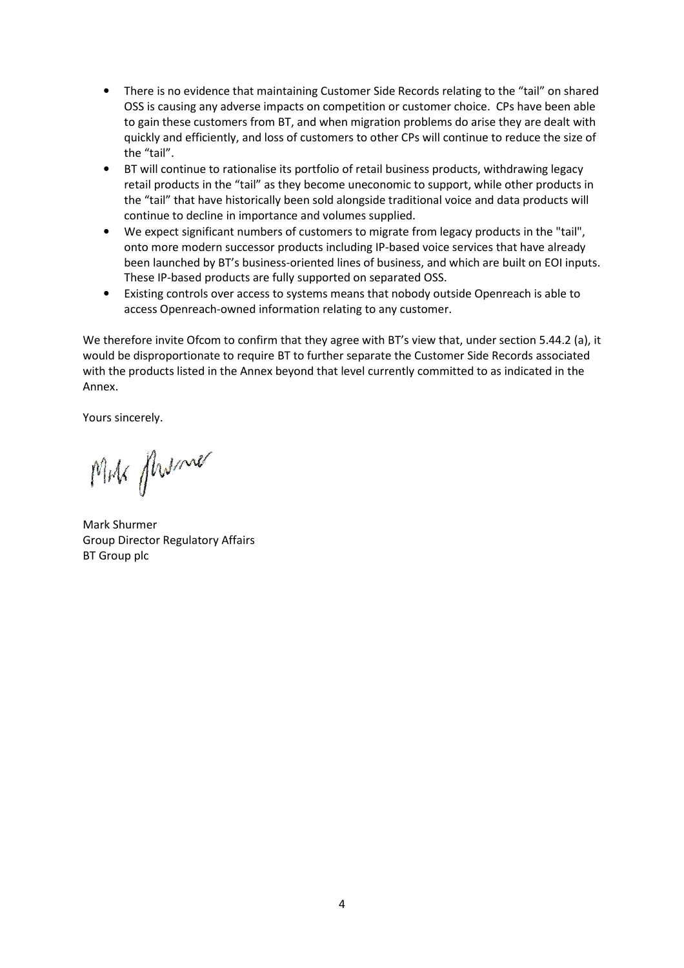- There is no evidence that maintaining Customer Side Records relating to the "tail" on shared OSS is causing any adverse impacts on competition or customer choice. CPs have been able to gain these customers from BT, and when migration problems do arise they are dealt with quickly and efficiently, and loss of customers to other CPs will continue to reduce the size of the "tail".
- BT will continue to rationalise its portfolio of retail business products, withdrawing legacy retail products in the "tail" as they become uneconomic to support, while other products in the "tail" that have historically been sold alongside traditional voice and data products will continue to decline in importance and volumes supplied.
- We expect significant numbers of customers to migrate from legacy products in the "tail", onto more modern successor products including IP-based voice services that have already been launched by BT's business-oriented lines of business, and which are built on EOI inputs. These IP-based products are fully supported on separated OSS.
- Existing controls over access to systems means that nobody outside Openreach is able to access Openreach-owned information relating to any customer.

We therefore invite Ofcom to confirm that they agree with BT's view that, under section 5.44.2 (a), it would be disproportionate to require BT to further separate the Customer Side Records associated with the products listed in the Annex beyond that level currently committed to as indicated in the Annex.

Yours sincerely.

MM flwme

Mark Shurmer Group Director Regulatory Affairs BT Group plc